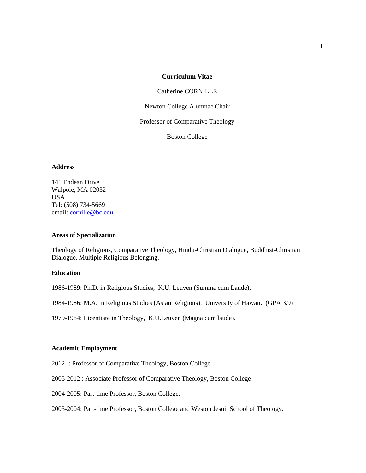## **Curriculum Vitae**

### Catherine CORNILLE

Newton College Alumnae Chair

Professor of Comparative Theology

Boston College

### **Address**

141 Endean Drive Walpole, MA 02032 USA Tel: (508) 734-5669 email: [cornille@bc.edu](mailto:cornille@bc.edu)

### **Areas of Specialization**

Theology of Religions, Comparative Theology, Hindu-Christian Dialogue, Buddhist-Christian Dialogue, Multiple Religious Belonging.

# **Education**

1986-1989: Ph.D. in Religious Studies, K.U. Leuven (Summa cum Laude).

1984-1986: M.A. in Religious Studies (Asian Religions). University of Hawaii. (GPA 3.9)

1979-1984: Licentiate in Theology, K.U.Leuven (Magna cum laude).

### **Academic Employment**

2012- : Professor of Comparative Theology, Boston College

2005-2012 : Associate Professor of Comparative Theology, Boston College

2004-2005: Part-time Professor, Boston College.

2003-2004: Part-time Professor, Boston College and Weston Jesuit School of Theology.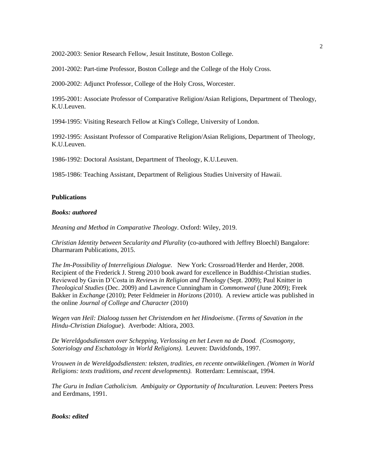2002-2003: Senior Research Fellow, Jesuit Institute, Boston College.

2001-2002: Part-time Professor, Boston College and the College of the Holy Cross.

2000-2002: Adjunct Professor, College of the Holy Cross, Worcester.

1995-2001: Associate Professor of Comparative Religion/Asian Religions, Department of Theology, K.U.Leuven.

1994-1995: Visiting Research Fellow at King's College, University of London.

1992-1995: Assistant Professor of Comparative Religion/Asian Religions, Department of Theology, K.U.Leuven.

1986-1992: Doctoral Assistant, Department of Theology, K.U.Leuven.

1985-1986: Teaching Assistant, Department of Religious Studies University of Hawaii.

## **Publications**

### *Books: authored*

*Meaning and Method in Comparative Theology*. Oxford: Wiley, 2019.

*Christian Identity between Secularity and Plurality* (co-authored with Jeffrey Bloechl) Bangalore: Dharmaram Publications, 2015.

*The Im-Possibility of Interreligious Dialogue.* New York: Crossroad/Herder and Herder, 2008. Recipient of the Frederick J. Streng 2010 book award for excellence in Buddhist-Christian studies. Reviewed by Gavin D'Costa in *Reviews in Religion and Theology* (Sept. 2009); Paul Knitter in *Theological Studies* (Dec. 2009) and Lawrence Cunningham in *Commonweal* (June 2009); Freek Bakker in *Exchange* (2010); Peter Feldmeier in *Horizons* (2010). A review article was published in the online *Journal of College and Character* (2010)

*Wegen van Heil: Dialoog tussen het Christendom en het Hindoeisme*. (*Terms of Savation in the Hindu-Christian Dialogue*). Averbode: Altiora, 2003.

*De Wereldgodsdiensten over Schepping, Verlossing en het Leven na de Dood. (Cosmogony, Soteriology and Eschatology in World Religions).* Leuven: Davidsfonds, 1997.

*Vrouwen in de Wereldgodsdiensten: teksten, tradities, en recente ontwikkelingen. (Women in World Religions: texts traditions, and recent developments).* Rotterdam: Lemniscaat, 1994.

*The Guru in Indian Catholicism. Ambiguity or Opportunity of Inculturation.* Leuven: Peeters Press and Eerdmans, 1991.

### *Books: edited*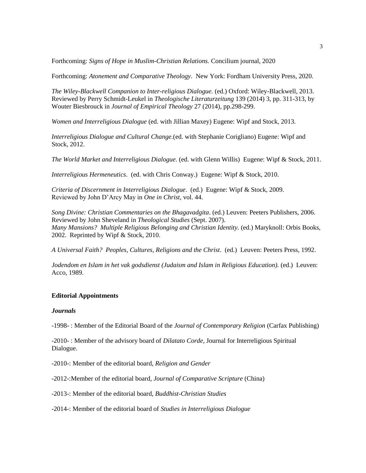Forthcoming: *Signs of Hope in Muslim-Christian Relations.* Concilium journal, 2020

Forthcoming: *Atonement and Comparative Theology*. New York: Fordham University Press, 2020.

*The Wiley-Blackwell Companion to Inter-religious Dialogue.* (ed.) Oxford: Wiley-Blackwell, 2013. Reviewed by Perry Schmidt-Leukel in *Theologische Literaturzeitung* 139 (2014) 3, pp. 311-313, by Wouter Biesbrouck in *Journal of Empirical Theology* 27 (2014), pp.298-299.

*Women and Interreligious Dialogue* (ed. with Jillian Maxey) Eugene: Wipf and Stock, 2013.

*Interreligious Dialogue and Cultural Change.*(ed. with Stephanie Corigliano) Eugene: Wipf and Stock, 2012.

*The World Market and Interreligious Dialogue.* (ed. with Glenn Willis) Eugene: Wipf & Stock, 2011.

*Interreligious Hermeneutics*. (ed. with Chris Conway.) Eugene: Wipf & Stock, 2010.

*Criteria of Discernment in Interreligious Dialogue*. (ed.) Eugene: Wipf & Stock, 2009. Reviewed by John D'Arcy May in *One in Christ*, vol. 44.

*Song Divine: Christian Commentaries on the Bhagavadgita*. (ed.) Leuven: Peeters Publishers, 2006. Reviewed by John Sheveland in *Theological Studies* (Sept. 2007). *Many Mansions? Multiple Religious Belonging and Christian Identity.* (ed.) Maryknoll: Orbis Books, 2002. Reprinted by Wipf & Stock, 2010.

*A Universal Faith? Peoples, Cultures, Religions and the Christ*. (ed.) Leuven: Peeters Press, 1992.

*Jodendom en Islam in het vak godsdienst (Judaism and Islam in Religious Education).* (ed.) Leuven: Acco, 1989.

### **Editorial Appointments**

#### *Journals*

-1998- : Member of the Editorial Board of the *Journal of Contemporary Religion* (Carfax Publishing)

-2010- : Member of the advisory board of *Dilatato Corde*, Journal for Interreligious Spiritual Dialogue.

-2010-: Member of the editorial board, *Religion and Gender*

-2012-:Member of the editorial board, *Journal of Comparative Scripture* (China)

-2013-: Member of the editorial board, *Buddhist-Christian Studies*

-2014-: Member of the editorial board of *Studies in Interreligious Dialogue*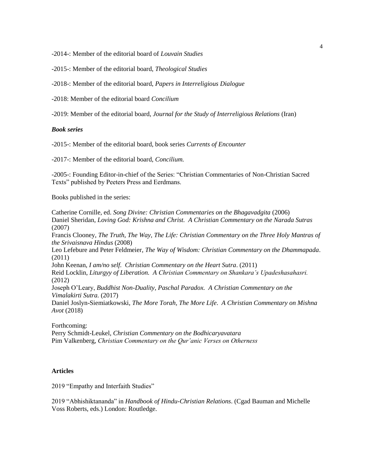-2014-: Member of the editorial board of *Louvain Studies*

-2015-: Member of the editorial board, *Theological Studies*

-2018-: Member of the editorial board, *Papers in Interreligious Dialogue*

-2018: Member of the editorial board *Concilium*

-2019: Member of the editorial board, *Journal for the Study of Interreligious Relations* (Iran)

### *Book series*

-2015-: Member of the editorial board, book series *Currents of Encounter*

-2017-: Member of the editorial board, *Concilium.*

-2005-: Founding Editor-in-chief of the Series: "Christian Commentaries of Non-Christian Sacred Texts" published by Peeters Press and Eerdmans.

Books published in the series:

Catherine Cornille, ed. *Song Divine: Christian Commentaries on the Bhagavadgita* (2006) Daniel Sheridan, *Loving God: Krishna and Christ. A Christian Commentary on the Narada Sutras* (2007) Francis Clooney, *The Truth, The Way, The Life: Christian Commentary on the Three Holy Mantras of the Srivaisnava Hindus* (2008) Leo Lefebure and Peter Feldmeier, *The Way of Wisdom: Christian Commentary on the Dhammapada*. (2011) John Keenan, *I am/no self. Christian Commentary on the Heart Sutra*. (2011) Reid Locklin, *Liturgyy of Liberation. A Christian Commentary on Shankara's Upadeshasahasri.* (2012) Joseph O'Leary, *Buddhist Non-Duality, Paschal Paradox. A Christian Commentary on the Vimalakirti Sutra.* (2017) Daniel Joslyn-Siemiatkowski, *The More Torah, The More Life*. *A Christian Commentary on Mishna Avot* (2018)

Forthcoming: Perry Schmidt-Leukel, *Christian Commentary on the Bodhicaryavatara* Pim Valkenberg, *Christian Commentary on the Qur'anic Verses on Otherness*

## **Articles**

2019 "Empathy and Interfaith Studies"

2019 "Abhishiktananda" in *Handbook of Hindu-Christian Relations*. (Cgad Bauman and Michelle Voss Roberts, eds.) London: Routledge.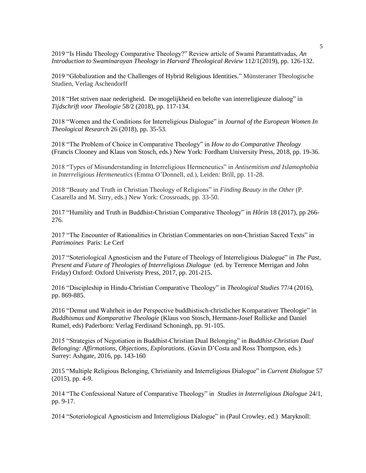2019 "Is Hindu Theology Comparative Theology?" Review article of Swami Paramtattvadas, *An Introduction to Swaminarayan Theology* in *Harvard Theological Review* 112/1(2019), pp. 126-132.

2019 "Globalization and the Challenges of Hybrid Religious Identities." Münsteraner Theologische Studien, Verlag Aschendorff

2018 "Het striven naar nederigheid. De mogelijkheid en belofte van interreligieuze dialoog" in *Tijdschrift voor Theologie* 58/2 (2018), pp. 117-134.

2018 "Women and the Conditions for Interreligious Dialogue" in *Journal of the European Women In Theological Research* 26 (2018), pp. 35-53.

2018 "The Problem of Choice in Comparative Theology" in *How to do Comparative Theology*  (Francis Clooney and Klaus von Stosch, eds.) New York: Fordham University Press, 2018, pp. 19-36.

2018 "Types of Misunderstanding in Interreligious Hermeneutics" in *Antisemitism and Islamophobia in Interreligious Hermeneutics* (Emma O'Donnell, ed.), Leiden: Brill, pp. 11-28.

2018 "Beauty and Truth in Christian Theology of Religions" in *Finding Beauty in the Other* (P. Casarella and M. Sirry, eds.) New York: Crossroads, pp. 33-50.

2017 "Humility and Truth in Buddhist-Christian Comparative Theology" in *Hôrin* 18 (2017), pp 266- 276.

2017 "The Encounter of Rationalities in Christian Commentaries on non-Christian Sacred Texts" in *Patrimoines* Paris: Le Cerf

2017 "Soteriological Agnosticism and the Future of Theology of Interreligious Dialogue" in *The Past, Present and Future of Theologies of Interreligious Dialogue* (ed. by Terrence Merrigan and John Friday) Oxford: Oxford Univeristy Press, 2017, pp. 201-215.

2016 "Discipleship in Hindu-Christian Comparative Theology" in *Theological Studies* 77/4 (2016), pp. 869-885.

2016 "Demut und Wahrheit in der Perspective buddhistisch-christlicher Komparativer Theologie" in *Buddhismus und Komparative Theologie* (Klaus von Stosch, Hermann-Josef Rollicke and Daniel Rumel, eds) Paderborn: Verlag Ferdinand Schoningh, pp. 91-105.

2015 "Strategies of Negotiation in Buddhist-Christian Dual Belonging" in *Buddhist-Christian Dual Belonging: Affirmations, Objections, Explorations.* (Gavin D'Costa and Ross Thompson, eds.) Surrey: Ashgate, 2016, pp. 143-160

2015 "Multiple Religious Belonging, Christianity and Interreligious Dialogue" in *Current Dialogue* 57 (2015), pp. 4-9.

2014 "The Confessional Nature of Comparative Theology" in *Studies in Interreligious Dialogue* 24/1, pp. 9-17.

2014 "Soteriological Agnosticism and Interreligious Dialogue" in (Paul Crowley, ed.) Maryknoll: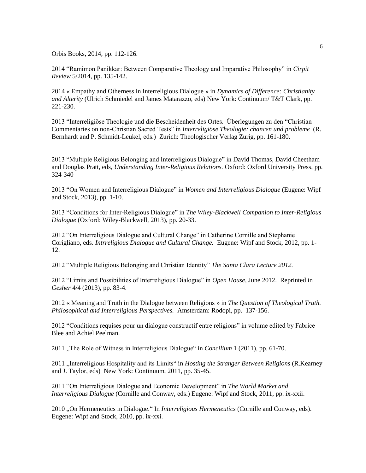Orbis Books, 2014, pp. 112-126.

2014 "Ramimon Panikkar: Between Comparative Theology and Imparative Philosophy" in *Cirpit Review* 5/2014, pp. 135-142.

2014 « Empathy and Otherness in Interreligious Dialogue » in *Dynamics of Difference: Christianity and Alterity* (Ulrich Schmiedel and James Matarazzo, eds) New York: Continuum/ T&T Clark, pp. 221-230.

2013 "Interreligiöse Theologie und die Bescheidenheit des Ortes. Überlegungen zu den "Christian Commentaries on non-Christian Sacred Tests" in *Interreligiöse Theologie: chancen und probleme* (R. Bernhardt and P. Schmidt-Leukel, eds.) Zurich: Theologischer Verlag Zurig, pp. 161-180.

2013 "Multiple Religious Belonging and Interreligious Dialogue" in David Thomas, David Cheetham and Douglas Pratt, eds, *Understanding Inter-Religious Relations.* Oxford: Oxford University Press, pp. 324-340

2013 "On Women and Interreligious Dialogue" in *Women and Interreligious Dialogue* (Eugene: Wipf and Stock, 2013), pp. 1-10.

2013 "Conditions for Inter-Religious Dialogue" in *The Wiley-Blackwell Companion to Inter-Religious Dialogue* (Oxford: Wiley-Blackwell, 2013), pp. 20-33.

2012 "On Interreligious Dialogue and Cultural Change" in Catherine Cornille and Stephanie Corigliano, eds. *Intrreligious Dialogue and Cultural Change.* Eugene: Wipf and Stock, 2012, pp. 1- 12.

2012 "Multiple Religious Belonging and Christian Identity" *The Santa Clara Lecture 2012.*

2012 "Limits and Possibilities of Interreligious Dialogue" in *Open House*, June 2012. Reprinted in *Gesher* 4/4 (2013), pp. 83-4.

2012 « Meaning and Truth in the Dialogue between Religions » in *The Question of Theological Truth. Philosophical and Interreligious Perspectives.* Amsterdam: Rodopi, pp. 137-156.

2012 "Conditions requises pour un dialogue constructif entre religions" in volume edited by Fabrice Blee and Achiel Peelman.

2011 "The Role of Witness in Interreligious Dialogue" in *Concilium* 1 (2011), pp. 61-70.

2011 "Interreligious Hospitality and its Limits" in *Hosting the Stranger Between Religions* (R.Kearney and J. Taylor, eds) New York: Continuum, 2011, pp. 35-45.

2011 "On Interreligious Dialogue and Economic Development" in *The World Market and Interreligious Dialogue* (Cornille and Conway, eds.) Eugene: Wipf and Stock, 2011, pp. ix-xxii.

2010 "On Hermeneutics in Dialogue." In *Interreligious Hermeneutics* (Cornille and Conway, eds). Eugene: Wipf and Stock, 2010, pp. ix-xxi.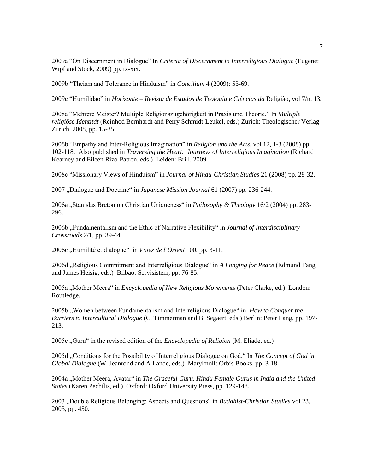2009a "On Discernment in Dialogue" In *Criteria of Discernment in Interreligious Dialogue* (Eugene: Wipf and Stock, 2009) pp. ix-xix.

2009b "Theism and Tolerance in Hinduism" in *Concilium* 4 (2009): 53-69.

2009c "Humilidao" in *Horizonte – Revista de Estudos de Teologia e Ciências da* Religião, vol 7/n. 13*.*

2008a "Mehrere Meister? Multiple Religionszugehörigkeit in Praxis und Theorie." In *Multiple religiöse Identität* (Reinhod Bernhardt and Perry Schmidt-Leukel, eds.) Zurich: Theologischer Verlag Zurich, 2008, pp. 15-35.

2008b "Empathy and Inter-Religious Imagination" in *Religion and the Arts*, vol 12, 1-3 (2008) pp. 102-118. Also published in *Traversing the Heart. Journeys of Interreligious Imagination* (Richard Kearney and Eileen Rizo-Patron, eds.) Leiden: Brill, 2009.

2008c "Missionary Views of Hinduism" in *Journal of Hindu-Christian Studies* 21 (2008) pp. 28-32.

2007 "Dialogue and Doctrine" in *Japanese Mission Journal* 61 (2007) pp. 236-244.

2006a "Stanislas Breton on Christian Uniqueness" in *Philosophy & Theology* 16/2 (2004) pp. 283- 296.

2006b "Fundamentalism and the Ethic of Narrative Flexibility" in *Journal of Interdisciplinary Crossroads* 2/1, pp. 39-44.

2006c "Humilité et dialogue" in *Voies de l'Orient* 100, pp. 3-11.

2006d "Religious Commitment and Interreligious Dialogue" in *A Longing for Peace* (Edmund Tang and James Heisig, eds.) Bilbao: Servisistem, pp. 76-85.

2005a "Mother Meera" in *Encyclopedia of New Religious Movements* (Peter Clarke, ed.) London: Routledge.

2005b "Women between Fundamentalism and Interreligious Dialogue" in *How to Conquer the Barriers to Intercultural Dialogue* (C. Timmerman and B. Segaert, eds.) Berlin: Peter Lang, pp. 197- 213.

2005c "Guru" in the revised edition of the *Encyclopedia of Religion* (M. Eliade, ed.)

2005d "Conditions for the Possibility of Interreligious Dialogue on God." In *The Concept of God in Global Dialogue* (W. Jeanrond and A Lande, eds.) Maryknoll: Orbis Books, pp. 3-18.

2004a "Mother Meera, Avatar" in *The Graceful Guru. Hindu Female Gurus in India and the United States* (Karen Pechilis, ed.) Oxford: Oxford University Press, pp. 129-148.

2003 "Double Religious Belonging: Aspects and Questions" in *Buddhist-Christian Studies* vol 23, 2003, pp. 450.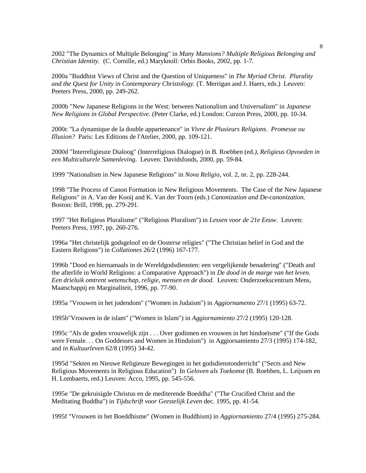2002 "The Dynamics of Multiple Belonging" in *Many Mansions? Multiple Religious Belonging and Christian Identity.* (C. Cornille, ed.) Maryknoll: Orbis Books, 2002, pp. 1-7.

2000a "Buddhist Views of Christ and the Question of Uniqueness" in *The Myriad Christ. Plurality and the Quest for Unity in Contemporary Christology.* (T. Merrigan and J. Haers, eds.) Leuven: Peeters Press, 2000, pp. 249-262.

2000b "New Japanese Religions in the West: between Nationalism and Universalism" in *Japanese New Religions in Global Perspective.* (Peter Clarke, ed.) London: Curzon Press, 2000, pp. 10-34.

2000c "La dynamique de la double appartenance" in *Vivre de Plusieurs Religions. Promesse ou Illusion?* Paris: Les Editions de l'Atelier, 2000, pp. 109-121.

2000d "Interreligieuze Dialoog" (Interreligious Dialogue) in B. Roebben (ed*.), Religieus Opvoeden in een Multiculturele Samenleving.* Leuven: Davidsfonds, 2000, pp. 59-84.

1999 "Nationalism in New Japanese Religions" in *Nova Religio*, vol. 2, nr. 2, pp. 228-244.

1998 "The Process of Canon Formation in New Religious Movements. The Case of the New Japanese Religions" in A. Van der Kooij and K. Van der Toorn (eds.) *Canonization and De-canonization.* Boston: Brill, 1998, pp. 279-291.

1997 "Het Religieus Pluralisme" ("Religious Pluralism") in *Lessen voor de 21e Eeuw*. Leuven: Peeters Press, 1997, pp. 260-276.

1996a "Het christelijk godsgeloof en de Oosterse religies" ("The Christian belief in God and the Eastern Religions") in *Collationes* 26/2 (1996) 167-177.

1996b "Dood en hiernamaals in de Wereldgodsdiensten: een vergelijkende benadering" ("Death and the afterlife in World Religions: a Comparative Approach") in *De dood in de marge van het leven. Een drieluik omtrent wetenschap, religie, mensen en de dood.* Leuven: Onderzoekscentrum Mens, Maatschappij en Marginaliteit, 1996, pp. 77-90.

1995a "Vrouwen in het jodendom" ("Women in Judaism") in *Aggiornamento* 27/1 (1995) 63-72.

1995b"Vrouwen in de islam" ("Women in Islam") in *Aggiornamiento* 27/2 (1995) 120-128.

1995c "Als de goden vrouwelijk zijn . . . Over godinnen en vrouwen in het hindoeïsme" ("If the Gods were Female. . . On Goddesses and Women in Hinduism") in Aggiornamiento 27/3 (1995) 174-182, and *in Kultuurleven* 62/8 (1995) 34-42.

1995d "Sekten en Nieuwe Religieuze Bewegingen in het godsdienstonderricht" ("Sects and New Religious Movements in Religious Education") In *Geloven als Toekomst* (B. Roebben, L. Leijssen en H. Lombaerts, red.) Leuven: Acco, 1995, pp. 545-556.

1995e "De gekruisigde Christus en de mediterende Boeddha" ("The Crucified Christ and the Meditating Buddha") in *Tijdschrift voor Geestelijk Leven* dec. 1995, pp. 41-54.

1995f "Vrouwen in het Boeddhisme" (Women in Buddhism) in *Aggiornamiento* 27/4 (1995) 275-284.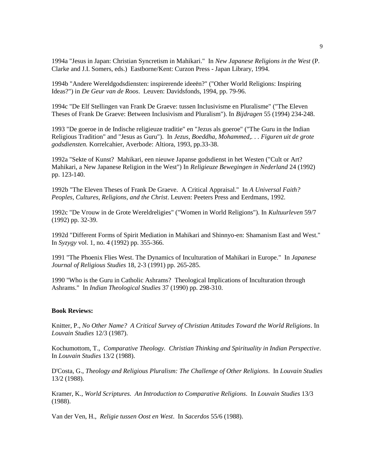1994a "Jesus in Japan: Christian Syncretism in Mahikari." In *New Japanese Religions in the West* (P. Clarke and J.I. Somers, eds.) Eastborne/Kent: Curzon Press - Japan Library, 1994.

1994b "Andere Wereldgodsdiensten: inspirerende ideeën?" ("Other World Religions: Inspiring Ideas?") in *De Geur van de Roos*. Leuven: Davidsfonds, 1994, pp. 79-96.

1994c "De Elf Stellingen van Frank De Graeve: tussen Inclusivisme en Pluralisme" ("The Eleven Theses of Frank De Graeve: Between Inclusivism and Pluralism"). In *Bijdragen* 55 (1994) 234-248.

1993 "De goeroe in de Indische religieuze traditie" en "Jezus als goeroe" ("The Guru in the Indian Religious Tradition" and "Jesus as Guru"). In *Jezus, Boeddha, Mohammed,. . . Figuren uit de grote godsdiensten.* Korrelcahier, Averbode: Altiora, 1993, pp.33-38.

1992a "Sekte of Kunst? Mahikari, een nieuwe Japanse godsdienst in het Westen ("Cult or Art? Mahikari, a New Japanese Religion in the West") In *Religieuze Bewegingen in Nederland* 24 (1992) pp. 123-140.

1992b "The Eleven Theses of Frank De Graeve. A Critical Appraisal." In *A Universal Faith? Peoples, Cultures, Religions, and the Christ*. Leuven: Peeters Press and Eerdmans, 1992.

1992c "De Vrouw in de Grote Wereldreligies" ("Women in World Religions"). In *Kultuurleven* 59/7 (1992) pp. 32-39.

1992d "Different Forms of Spirit Mediation in Mahikari and Shinnyo-en: Shamanism East and West." In *Syzygy* vol. 1, no. 4 (1992) pp. 355-366.

1991 "The Phoenix Flies West. The Dynamics of Inculturation of Mahikari in Europe." In *Japanese Journal of Religious Studies* 18, 2-3 (1991) pp. 265-285.

1990 "Who is the Guru in Catholic Ashrams? Theological Implications of Inculturation through Ashrams." In *Indian Theological Studies* 37 (1990) pp. 298-310.

#### **Book Reviews:**

Knitter, P., *No Other Name? A Critical Survey of Christian Attitudes Toward the World Religions*. In *Louvain Studies* 12/3 (1987).

Kochumottom, T., *Comparative Theology. Christian Thinking and Spirituality in Indian Perspective*. In *Louvain Studies* 13/2 (1988).

D'Costa, G., *Theology and Religious Pluralism: The Challenge of Other Religions*. In *Louvain Studies*  13/2 (1988).

Kramer, K., *World Scriptures. An Introduction to Comparative Religions*. In *Louvain Studies* 13/3 (1988).

Van der Ven, H., *Religie tussen Oost en West*. In *Sacerdos* 55/6 (1988).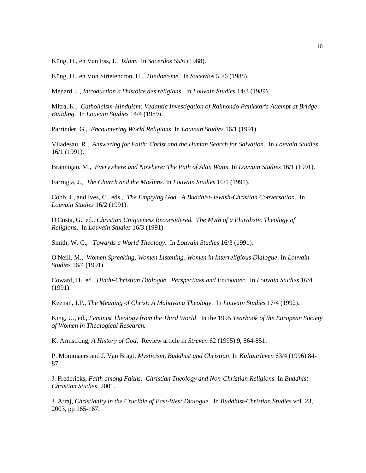Küng, H., en Van Ess, J., *Islam*. In *Sacerdos* 55/6 (1988).

Küng, H., en Von Strietencron, H., *Hindoeïsme*. In *Sacerdos* 55/6 (1988).

Menard, J., *Introduction a l'histoire des religions*. In *Louvain Studies* 14/3 (1989).

Mitra, K., *Catholicism-Hinduism: Vedantic Investigation of Raimondo Panikkar's Attempt at Bridge Building*. In *Louvain Studies* 14/4 (1989).

Parrinder, G., *Encountering World Religions*. In *Louvain Studies* 16/1 (1991).

Viladesau, R., *Answering for Faith: Christ and the Human Search for Salvation*. In *Louvain Studies* 16/1 (1991).

Brannigan, M., *Everywhere and Nowhere: The Path of Alan Watts*. In *Louvain Studies* 16/1 (1991).

Farrugia, J., *The Church and the Moslims*. In *Louvain Studies* 16/1 (1991).

Cobb, J., and Ives, C., eds., *The Emptying God. A Buddhist-Jewish-Christian Conversation*. In *Louvain Studies* 16/2 (1991).

D'Costa, G., ed., *Christian Uniqueness Reconsidered. The Myth of a Pluralistic Theology of Religions*. In *Louvain Studies* 16/3 (1991).

Smith, W. C., *Towards a World Theology*. In *Louvain Studies* 16/3 (1991).

O'Neill, M., *Women Spreaking, Women Listening. Women in Interreligious Dialogue*. In *Louvain Studies* 16/4 (1991).

Coward, H., ed*., Hindu-Christian Dialogue. Perspectives and Encounter*. In *Louvain Studies* 16/4 (1991).

Keenan, J.P*., The Meaning of Christ: A Mahayana Theology*. In *Louvain Studies* 17/4 (1992).

King, U., ed., *Feminist Theology from the Third World*. In the 1995 *Yearbook of the European Society of Women in Theological Research.*

K. Armstrong, *A History of God*. Review article in *Streven* 62 (1995) 9, 864-851.

P. Mommaers and J. Van Bragt*, Mysticism, Buddhist and Christian*. In *Kultuurleven* 63/4 (1996) 84- 87.

J. Fredericks, *Faith among Faiths. Christian Theology and Non-Christian Religions*. In *Buddhist-Christian Studies,* 2001.

J. Arraj, *Christianity in the Crucible of East-West Dialogue*. In *Buddhist-Christian Studies* vol. 23, 2003, pp 165-167.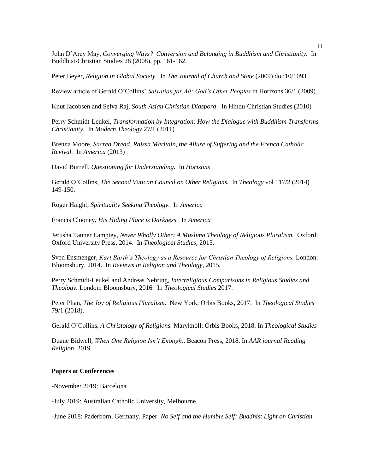John D'Arcy May, *Converging Ways? Conversion and Belonging in Buddhism and Christianity.* In Buddhist-Christian Studies 28 (2008), pp. 161-162.

Peter Beyer, *Religion in Global Society*. In *The Journal of Church and State* (2009) doi:10/1093.

Review article of Gerald O'Collins' *Salvation for All: God's Other Peoples* in Horizons 36/1 (2009).

Knut Jacobsen and Selva Raj*, South Asian Christian Diaspora*. In Hindu-Christian Studies (2010)

Perry Schmidt-Leukel, *Transformation by Integration: How the Dialogue with Buddhism Transforms Christianity*. In *Modern Theology* 27/1 (2011)

Brenna Moore, *Sacred Dread. Raissa Maritain, the Allure of Suffering and the French Catholic Revival.* In *America* (2013)

David Burrell, *Questioning for Understanding.* In *Horizons*

Gerald O'Collins, *The Second Vatican Council on Other Religions.* In *Theology* vol 117/2 (2014) 149-150.

Roger Haight, *Spirituality Seeking Theology.* In *America*

Francis Clooney, *His Hiding Place is Darkness.* In *America*

Jerusha Tanner Lamptey, *Never Wholly Other: A Muslima Theology of Religious Pluralism.* Oxford: Oxford University Press, 2014. In *Theological Studies,* 2015.

Sven Ensmenger, *Karl Barth's Theology as a Resource for Christian Theology of Religions.* London: Bloomsbury, 2014. In *Reviews in Religion and Theology*, 2015.

Perry Schmidt-Leukel and Andreas Nehring, *Interreligious Comparisons in Religious Studies and Theology.* London: Bloomsbury, 2016. In *Theological Studies* 2017.

Peter Phan, *The Joy of Religious Pluralism*. New York: Orbis Books, 2017. In *Theological Studies* 79/1 (2018).

Gerald O'Collins, *A Christology of Religions.* Maryknoll: Orbis Books, 2018. In *Theological Studies*

Duane Bidwell, *When One Religion Isn't Enough*.. Beacon Press, 2018. In *AAR journal Reading Religion*, 2019.

# **Papers at Conferences**

-November 2019: Barcelona

-July 2019: Australian Catholic University, Melbourne.

-June 2018: Paderborn, Germany. Paper: *No Self and the Humble Self: Buddhist Light on Christian*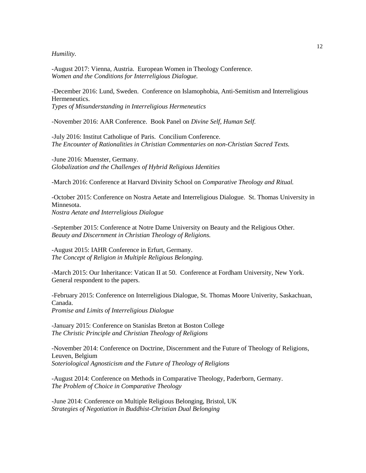*Humility.*

-August 2017: Vienna, Austria. European Women in Theology Conference. *Women and the Conditions for Interreligious Dialogue.*

-December 2016: Lund, Sweden. Conference on Islamophobia, Anti-Semitism and Interreligious Hermeneutics. *Types of Misunderstanding in Interreligious Hermeneutics*

-November 2016: AAR Conference. Book Panel on *Divine Self, Human Self.*

-July 2016: Institut Catholique of Paris. Concilium Conference. *The Encounter of Rationalities in Christian Commentaries on non-Christian Sacred Texts.*

-June 2016: Muenster, Germany. *Globalization and the Challenges of Hybrid Religious Identities*

-March 2016: Conference at Harvard Divinity School on *Comparative Theology and Ritual.*

-October 2015: Conference on Nostra Aetate and Interreligious Dialogue. St. Thomas University in Minnesota. *Nostra Aetate and Interreligious Dialogue*

-September 2015: Conference at Notre Dame University on Beauty and the Religious Other. *Beauty and Discernment in Christian Theology of Religions.*

-August 2015: IAHR Conference in Erfurt, Germany. *The Concept of Religion in Multiple Religious Belonging.*

-March 2015: Our Inheritance: Vatican II at 50. Conference at Fordham University, New York. General respondent to the papers.

-February 2015: Conference on Interreligious Dialogue, St. Thomas Moore Univerity, Saskachuan, Canada. *Promise and Limits of Interreligious Dialogue*

-January 2015: Conference on Stanislas Breton at Boston College *The Christic Principle and Christian Theology of Religions*

-November 2014: Conference on Doctrine, Discernment and the Future of Theology of Religions, Leuven, Belgium *Soteriological Agnosticism and the Future of Theology of Religions*

-August 2014: Conference on Methods in Comparative Theology, Paderborn, Germany. *The Problem of Choice in Comparative Theology*

-June 2014: Conference on Multiple Religious Belonging, Bristol, UK *Strategies of Negotiation in Buddhist-Christian Dual Belonging*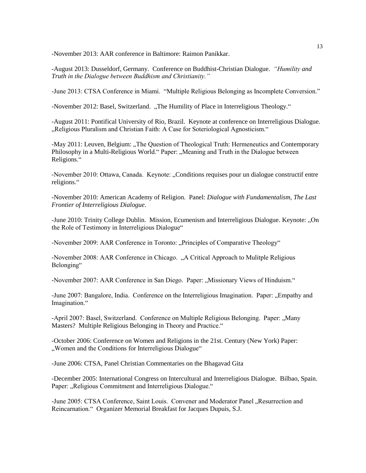-November 2013: AAR conference in Baltimore: Raimon Panikkar.

-August 2013: Dusseldorf, Germany. Conference on Buddhist-Christian Dialogue. *"Humility and Truth in the Dialogue between Buddhism and Christianity."*

-June 2013: CTSA Conference in Miami. "Multiple Religious Belonging as Incomplete Conversion."

-November 2012: Basel, Switzerland. "The Humility of Place in Interreligious Theology."

-August 2011: Pontifical University of Rio, Brazil. Keynote at conference on Interreligious Dialogue. "Religious Pluralism and Christian Faith: A Case for Soteriological Agnosticism."

-May 2011: Leuven, Belgium: "The Question of Theological Truth: Hermeneutics and Contemporary Philosophy in a Multi-Religious World." Paper: "Meaning and Truth in the Dialogue between Religions."

-November 2010: Ottawa, Canada. Keynote: "Conditions requises pour un dialogue constructif entre religions."

-November 2010: American Academy of Religion. Panel: *Dialogue with Fundamentalism, The Last Frontier of Interreligious Dialogue*.

-June 2010: Trinity College Dublin. Mission, Ecumenism and Interreligious Dialogue. Keynote: "On the Role of Testimony in Interreligious Dialogue"

-November 2009: AAR Conference in Toronto: "Principles of Comparative Theology"

-November 2008: AAR Conference in Chicago. "A Critical Approach to Mulitple Religious Belonging"

-November 2007: AAR Conference in San Diego. Paper: "Missionary Views of Hinduism."

-June 2007: Bangalore, India. Conference on the Interreligious Imagination. Paper: "Empathy and Imagination."

-April 2007: Basel, Switzerland. Conference on Multiple Religious Belonging. Paper: "Many Masters? Multiple Religious Belonging in Theory and Practice."

-October 2006: Conference on Women and Religions in the 21st. Century (New York) Paper: "Women and the Conditions for Interreligious Dialogue"

-June 2006: CTSA, Panel Christian Commentaries on the Bhagavad Gita

-December 2005: International Congress on Intercultural and Interreligious Dialogue. Bilbao, Spain. Paper: "Religious Commitment and Interreligious Dialogue."

-June 2005: CTSA Conference, Saint Louis. Convener and Moderator Panel "Resurrection and Reincarnation." Organizer Memorial Breakfast for Jacques Dupuis, S.J.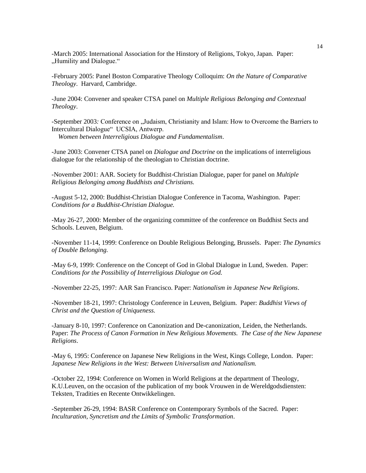-March 2005: International Association for the Hinstory of Religions, Tokyo, Japan. Paper: "Humility and Dialogue."

-February 2005: Panel Boston Comparative Theology Colloquim: *On the Nature of Comparative Theology*. Harvard, Cambridge.

-June 2004: Convener and speaker CTSA panel on *Multiple Religious Belonging and Contextual Theology*.

-September 2003: Conference on "Judaism, Christianity and Islam: How to Overcome the Barriers to Intercultural Dialogue" UCSIA, Antwerp.

 *Women between Interreligious Dialogue and Fundamentalism*.

-June 2003: Convener CTSA panel on *Dialogue and Doctrine* on the implications of interreligious dialogue for the relationship of the theologian to Christian doctrine.

-November 2001: AAR. Society for Buddhist-Christian Dialogue, paper for panel on *Multiple Religious Belonging among Buddhists and Christians.* 

-August 5-12, 2000: Buddhist-Christian Dialogue Conference in Tacoma, Washington. Paper: *Conditions for a Buddhist-Christian Dialogue.*

-May 26-27, 2000: Member of the organizing committee of the conference on Buddhist Sects and Schools. Leuven, Belgium.

-November 11-14, 1999: Conference on Double Religious Belonging, Brussels. Paper: *The Dynamics of Double Belonging.*

-May 6-9, 1999: Conference on the Concept of God in Global Dialogue in Lund, Sweden. Paper: *Conditions for the Possibility of Interreligious Dialogue on God.*

-November 22-25, 1997: AAR San Francisco. Paper: *Nationalism in Japanese New Religions*.

-November 18-21, 1997: Christology Conference in Leuven, Belgium. Paper: *Buddhist Views of Christ and the Question of Uniqueness.*

-January 8-10, 1997: Conference on Canonization and De-canonization, Leiden, the Netherlands. Paper: *The Process of Canon Formation in New Religious Movements. The Case of the New Japanese Religions*.

-May 6, 1995: Conference on Japanese New Religions in the West, Kings College, London. Paper: *Japanese New Religions in the West: Between Universalism and Nationalism.*

-October 22, 1994: Conference on Women in World Religions at the department of Theology, K.U.Leuven, on the occasion of the publication of my book Vrouwen in de Wereldgodsdiensten: Teksten, Tradities en Recente Ontwikkelingen.

-September 26-29, 1994: BASR Conference on Contemporary Symbols of the Sacred. Paper: *Inculturation, Syncretism and the Limits of Symbolic Transformation*.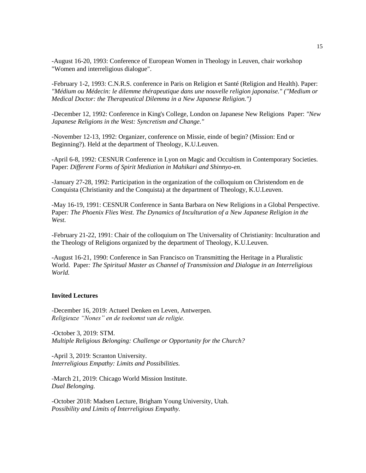-August 16-20, 1993: Conference of European Women in Theology in Leuven, chair workshop "Women and interreligious dialogue".

-February 1-2, 1993: C.N.R.S. conference in Paris on Religion et Santé (Religion and Health). Paper: *"Médium ou Médecin: le dilemme thérapeutique dans une nouvelle religion japonaise." ("Medium or Medical Doctor: the Therapeutical Dilemma in a New Japanese Religion.")*

-December 12, 1992: Conference in King's College, London on Japanese New Religions Paper: *"New Japanese Religions in the West: Syncretism and Change."*

-November 12-13, 1992: Organizer, conference on Missie, einde of begin? (Mission: End or Beginning?). Held at the department of Theology, K.U.Leuven.

-April 6-8, 1992: CESNUR Conference in Lyon on Magic and Occultism in Contemporary Societies. Paper: *Different Forms of Spirit Mediation in Mahikari and Shinnyo-en.*

-January 27-28, 1992: Participation in the organization of the colloquium on Christendom en de Conquista (Christianity and the Conquista) at the department of Theology, K.U.Leuven.

-May 16-19, 1991: CESNUR Conference in Santa Barbara on New Religions in a Global Perspective. Paper*: The Phoenix Flies West. The Dynamics of Inculturation of a New Japanese Religion in the West.*

-February 21-22, 1991: Chair of the colloquium on The Universality of Christianity: Inculturation and the Theology of Religions organized by the department of Theology, K.U.Leuven.

-August 16-21, 1990: Conference in San Francisco on Transmitting the Heritage in a Pluralistic World. Paper*: The Spiritual Master as Channel of Transmission and Dialogue in an Interreligious World.*

### **Invited Lectures**

-December 16, 2019: Actueel Denken en Leven, Antwerpen. *Religieuze "Nones" en de toekomst van de religie.*

-October 3, 2019: STM. *Multiple Religious Belonging: Challenge or Opportunity for the Church?*

-April 3, 2019: Scranton University. *Interreligious Empathy: Limits and Possibilities.*

-March 21, 2019: Chicago World Mission Institute. *Dual Belonging.*

-October 2018: Madsen Lecture, Brigham Young University, Utah. *Possibility and Limits of Interreligious Empathy.*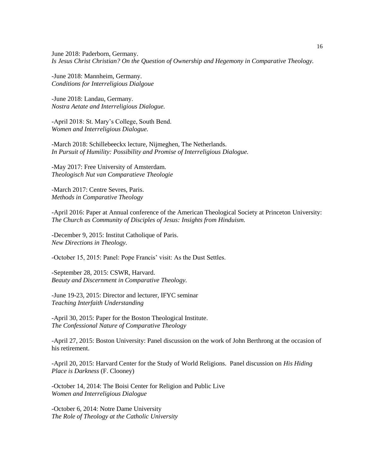June 2018: Paderborn, Germany. *Is Jesus Christ Christian? On the Question of Ownership and Hegemony in Comparative Theology.*

-June 2018: Mannheim, Germany. *Conditions for Interreligious Dialgoue*

-June 2018: Landau, Germany. *Nostra Aetate and Interreligious Dialogue.*

-April 2018: St. Mary's College, South Bend. *Women and Interreligious Dialogue.*

-March 2018: Schillebeeckx lecture, Nijmeghen, The Netherlands. *In Pursuit of Humility: Possibility and Promise of Interreligious Dialogue.*

-May 2017: Free University of Amsterdam. *Theologisch Nut van Comparatieve Theologie*

-March 2017: Centre Sevres, Paris. *Methods in Comparative Theology*

-April 2016: Paper at Annual conference of the American Theological Society at Princeton University: *The Church as Community of Disciples of Jesus: Insights from Hinduism.*

-December 9, 2015: Institut Catholique of Paris. *New Directions in Theology.*

-October 15, 2015: Panel: Pope Francis' visit: As the Dust Settles.

-September 28, 2015: CSWR, Harvard. *Beauty and Discernment in Comparative Theology.*

-June 19-23, 2015: Director and lecturer, IFYC seminar *Teaching Interfaith Understanding*

-April 30, 2015: Paper for the Boston Theological Institute. *The Confessional Nature of Comparative Theology*

-April 27, 2015: Boston University: Panel discussion on the work of John Berthrong at the occasion of his retirement.

-April 20, 2015: Harvard Center for the Study of World Religions. Panel discussion on *His Hiding Place is Darkness* (F. Clooney)

-October 14, 2014: The Boisi Center for Religion and Public Live *Women and Interreligious Dialogue*

-October 6, 2014: Notre Dame University *The Role of Theology at the Catholic University*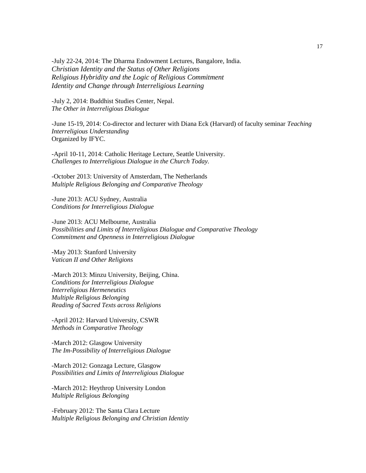-July 22-24, 2014: The Dharma Endowment Lectures, Bangalore, India. *Christian Identity and the Status of Other Religions Religious Hybridity and the Logic of Religious Commitment Identity and Change through Interreligious Learning*

-July 2, 2014: Buddhist Studies Center, Nepal. *The Other in Interreligious Dialogue*

-June 15-19, 2014: Co-director and lecturer with Diana Eck (Harvard) of faculty seminar *Teaching Interreligious Understanding* Organized by IFYC.

-April 10-11, 2014: Catholic Heritage Lecture, Seattle University. *Challenges to Interreligious Dialogue in the Church Today.*

-October 2013: University of Amsterdam, The Netherlands *Multiple Religious Belonging and Comparative Theology*

-June 2013: ACU Sydney, Australia *Conditions for Interreligious Dialogue*

-June 2013: ACU Melbourne, Australia *Possibilities and Limits of Interreligious Dialogue and Comparative Theology Commitment and Openness in Interreligious Dialogue*

-May 2013: Stanford University *Vatican II and Other Religions*

-March 2013: Minzu University, Beijing, China. *Conditions for Interreligious Dialogue Interreligious Hermeneutics Multiple Religious Belonging Reading of Sacred Texts across Religions*

-April 2012: Harvard University, CSWR *Methods in Comparative Theology*

-March 2012: Glasgow University *The Im-Possibility of Interreligious Dialogue*

-March 2012: Gonzaga Lecture, Glasgow *Possibilities and Limits of Interreligious Dialogue*

-March 2012: Heythrop University London *Multiple Religious Belonging*

-February 2012: The Santa Clara Lecture *Multiple Religious Belonging and Christian Identity*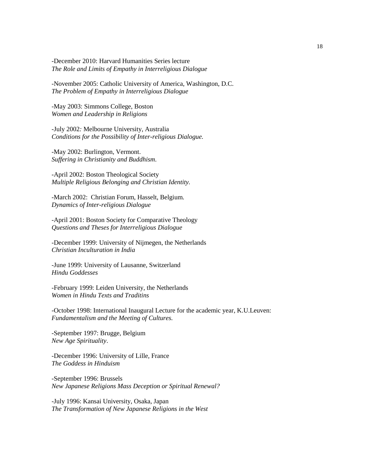-December 2010: Harvard Humanities Series lecture *The Role and Limits of Empathy in Interreligious Dialogue*

-November 2005: Catholic University of America, Washington, D.C. *The Problem of Empathy in Interreligious Dialogue*

-May 2003: Simmons College, Boston *Women and Leadership in Religions*

*-*July 2002*:* Melbourne University, Australia *Conditions for the Possibility of Inter-religious Dialogue.* 

-May 2002: Burlington, Vermont. *Suffering in Christianity and Buddhism*.

-April 2002: Boston Theological Society *Multiple Religious Belonging and Christian Identity.*

-March 2002: Christian Forum, Hasselt, Belgium. *Dynamics of Inter-religious Dialogue*

-April 2001: Boston Society for Comparative Theology *Questions and Theses for Interreligious Dialogue*

-December 1999: University of Nijmegen, the Netherlands *Christian Inculturation in India*

-June 1999: University of Lausanne, Switzerland *Hindu Goddesses*

-February 1999: Leiden University, the Netherlands *Women in Hindu Texts and Traditins*

-October 1998: International Inaugural Lecture for the academic year, K.U.Leuven: *Fundamentalism and the Meeting of Cultures.*

-September 1997: Brugge, Belgium *New Age Spirituality*.

-December 1996: University of Lille, France *The Goddess in Hinduism*

-September 1996: Brussels *New Japanese Religions Mass Deception or Spiritual Renewal?*

-July 1996: Kansai University, Osaka, Japan *The Transformation of New Japanese Religions in the West*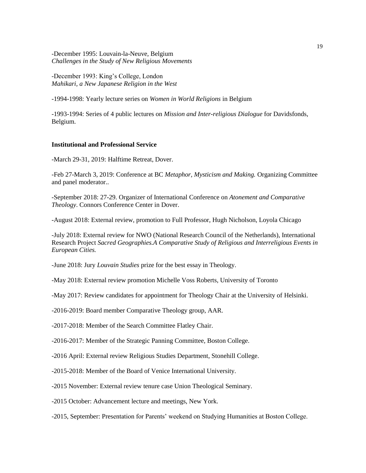### -December 1995: Louvain-la-Neuve, Belgium *Challenges in the Study of New Religious Movements*

-December 1993: King's College, London *Mahikari, a New Japanese Religion in the West*

-1994-1998: Yearly lecture series on *Women in World Religions* in Belgium

-1993-1994: Series of 4 public lectures on *Mission and Inter-religious Dialogue* for Davidsfonds, Belgium.

## **Institutional and Professional Service**

-March 29-31, 2019: Halftime Retreat, Dover.

-Feb 27-March 3, 2019: Conference at BC *Metaphor, Mysticism and Making.* Organizing Committee and panel moderator..

-September 2018: 27-29. Organizer of International Conference on *Atonement and Comparative Theology*. Connors Conference Center in Dover.

-August 2018: External review, promotion to Full Professor, Hugh Nicholson, Loyola Chicago

-July 2018: External review for NWO (National Research Council of the Netherlands), International Research Project *Sacred Geographies.A Comparative Study of Religious and Interreligious Events in European Cities.* 

-June 2018: Jury *Louvain Studies* prize for the best essay in Theology.

-May 2018: External review promotion Michelle Voss Roberts, University of Toronto

-May 2017: Review candidates for appointment for Theology Chair at the University of Helsinki.

-2016-2019: Board member Comparative Theology group, AAR.

-2017-2018: Member of the Search Committee Flatley Chair.

-2016-2017: Member of the Strategic Panning Committee, Boston College.

-2016 April: External review Religious Studies Department, Stonehill College.

-2015-2018: Member of the Board of Venice International University.

-2015 November: External review tenure case Union Theological Seminary.

-2015 October: Advancement lecture and meetings, New York.

-2015, September: Presentation for Parents' weekend on Studying Humanities at Boston College.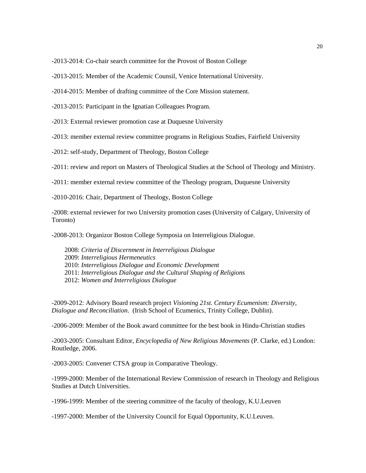-2013-2014: Co-chair search committee for the Provost of Boston College

-2013-2015: Member of the Academic Counsil, Venice International University.

- -2014-2015: Member of drafting committee of the Core Mission statement.
- -2013-2015: Participant in the Ignatian Colleagues Program.
- -2013: External reviewer promotion case at Duquesne University
- -2013: member external review committee programs in Religious Studies, Fairfield University
- -2012: self-study, Department of Theology, Boston College
- -2011: review and report on Masters of Theological Studies at the School of Theology and Ministry.
- -2011: member external review committee of the Theology program, Duquesne University
- -2010-2016: Chair, Department of Theology, Boston College
- -2008: external reviewer for two University promotion cases (University of Calgary, University of Toronto)

-2008-2013: Organizor Boston College Symposia on Interreligious Dialogue.

2008: *Criteria of Discernment in Interreligious Dialogue* 2009: *Interreligious Hermeneutics* 2010: *Interreligious Dialogue and Economic Development* 2011: *Interreligious Dialogue and the Cultural Shaping of Religions* 2012: *Women and Interreligious Dialogue*

-2009-2012: Advisory Board research project *Visioning 21st. Century Ecumenism: Diversity, Dialogue and Reconciliation*. (Irish School of Ecumenics, Trinity College, Dublin).

-2006-2009: Member of the Book award committee for the best book in Hindu-Christian studies

-2003-2005: Consultant Editor, *Encyclopedia of New Religious Movements* (P. Clarke, ed.) London: Routledge, 2006.

-2003-2005: Convener CTSA group in Comparative Theology.

-1999-2000: Member of the International Review Commission of research in Theology and Religious Studies at Dutch Universities.

-1996-1999: Member of the steering committee of the faculty of theology, K.U.Leuven

-1997-2000: Member of the University Council for Equal Opportunity, K.U.Leuven.